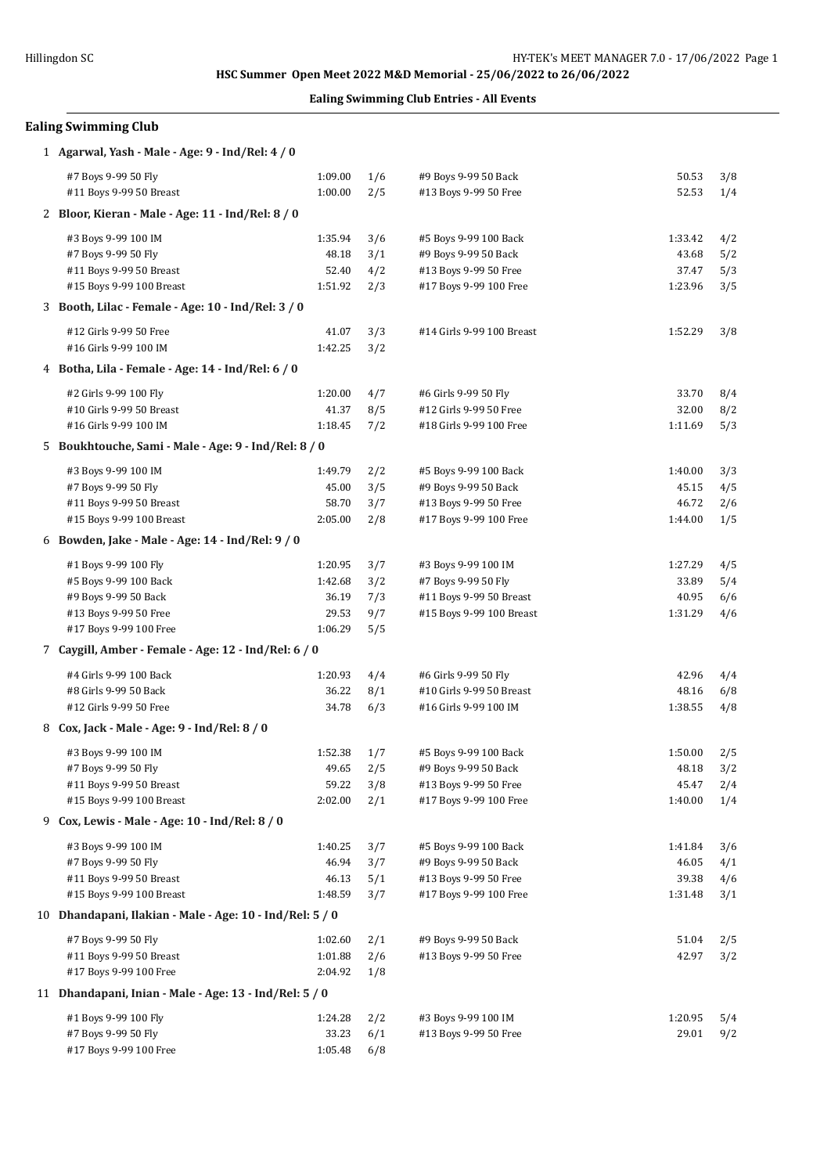## **Ealing Swimming Club Entries - All Events**

| <b>Ealing Swimming Club</b>                                                                                              |                                                 |                                 |                                                                                                   |                                      |                          |  |  |
|--------------------------------------------------------------------------------------------------------------------------|-------------------------------------------------|---------------------------------|---------------------------------------------------------------------------------------------------|--------------------------------------|--------------------------|--|--|
| 1 Agarwal, Yash - Male - Age: 9 - Ind/Rel: 4 / 0                                                                         |                                                 |                                 |                                                                                                   |                                      |                          |  |  |
| #7 Boys 9-99 50 Fly<br>#11 Boys 9-99 50 Breast                                                                           | 1:09.00<br>1:00.00                              | 1/6<br>2/5                      | #9 Boys 9-99 50 Back<br>#13 Boys 9-99 50 Free                                                     | 50.53<br>52.53                       | 3/8<br>1/4               |  |  |
| 2 Bloor, Kieran - Male - Age: 11 - Ind/Rel: 8 / 0                                                                        |                                                 |                                 |                                                                                                   |                                      |                          |  |  |
| #3 Boys 9-99 100 IM<br>#7 Boys 9-99 50 Fly<br>#11 Boys 9-99 50 Breast<br>#15 Boys 9-99 100 Breast                        | 1:35.94<br>48.18<br>52.40<br>1:51.92            | 3/6<br>3/1<br>4/2<br>2/3        | #5 Boys 9-99 100 Back<br>#9 Boys 9-99 50 Back<br>#13 Boys 9-99 50 Free<br>#17 Boys 9-99 100 Free  | 1:33.42<br>43.68<br>37.47<br>1:23.96 | 4/2<br>5/2<br>5/3<br>3/5 |  |  |
| 3 Booth, Lilac - Female - Age: 10 - Ind/Rel: 3 / 0                                                                       |                                                 |                                 |                                                                                                   |                                      |                          |  |  |
| #12 Girls 9-99 50 Free<br>#16 Girls 9-99 100 IM                                                                          | 41.07<br>1:42.25                                | 3/3<br>3/2                      | #14 Girls 9-99 100 Breast                                                                         | 1:52.29                              | 3/8                      |  |  |
| 4 Botha, Lila - Female - Age: 14 - Ind/Rel: 6 / 0                                                                        |                                                 |                                 |                                                                                                   |                                      |                          |  |  |
| #2 Girls 9-99 100 Fly<br>#10 Girls 9-99 50 Breast<br>#16 Girls 9-99 100 IM                                               | 1:20.00<br>41.37<br>1:18.45                     | 4/7<br>8/5<br>7/2               | #6 Girls 9-99 50 Fly<br>#12 Girls 9-99 50 Free<br>#18 Girls 9-99 100 Free                         | 33.70<br>32.00<br>1:11.69            | 8/4<br>8/2<br>5/3        |  |  |
| 5 Boukhtouche, Sami - Male - Age: 9 - Ind/Rel: 8 / 0                                                                     |                                                 |                                 |                                                                                                   |                                      |                          |  |  |
| #3 Boys 9-99 100 IM<br>#7 Boys 9-99 50 Fly<br>#11 Boys 9-99 50 Breast<br>#15 Boys 9-99 100 Breast                        | 1:49.79<br>45.00<br>58.70<br>2:05.00            | 2/2<br>3/5<br>3/7<br>2/8        | #5 Boys 9-99 100 Back<br>#9 Boys 9-99 50 Back<br>#13 Boys 9-99 50 Free<br>#17 Boys 9-99 100 Free  | 1:40.00<br>45.15<br>46.72<br>1:44.00 | 3/3<br>4/5<br>2/6<br>1/5 |  |  |
| 6 Bowden, Jake - Male - Age: 14 - Ind/Rel: 9 / 0                                                                         |                                                 |                                 |                                                                                                   |                                      |                          |  |  |
| #1 Boys 9-99 100 Fly<br>#5 Boys 9-99 100 Back<br>#9 Boys 9-99 50 Back<br>#13 Boys 9-99 50 Free<br>#17 Boys 9-99 100 Free | 1:20.95<br>1:42.68<br>36.19<br>29.53<br>1:06.29 | 3/7<br>3/2<br>7/3<br>9/7<br>5/5 | #3 Boys 9-99 100 IM<br>#7 Boys 9-99 50 Fly<br>#11 Boys 9-99 50 Breast<br>#15 Boys 9-99 100 Breast | 1:27.29<br>33.89<br>40.95<br>1:31.29 | 4/5<br>5/4<br>6/6<br>4/6 |  |  |
| 7 Caygill, Amber - Female - Age: 12 - Ind/Rel: 6 / 0                                                                     |                                                 |                                 |                                                                                                   |                                      |                          |  |  |
| #4 Girls 9-99 100 Back<br>#8 Girls 9-99 50 Back<br>#12 Girls 9-99 50 Free                                                | 1:20.93<br>36.22<br>34.78                       | 4/4<br>8/1<br>6/3               | #6 Girls 9-99 50 Fly<br>#10 Girls 9-99 50 Breast<br>#16 Girls 9-99 100 IM                         | 42.96<br>48.16<br>1:38.55            | 4/4<br>6/8<br>4/8        |  |  |
| 8 Cox, Jack - Male - Age: 9 - Ind/Rel: 8 / 0                                                                             |                                                 |                                 |                                                                                                   |                                      |                          |  |  |
| #3 Boys 9-99 100 IM<br>#7 Boys 9-99 50 Fly<br>#11 Boys 9-99 50 Breast<br>#15 Boys 9-99 100 Breast                        | 1:52.38<br>49.65<br>59.22<br>2:02.00            | 1/7<br>2/5<br>3/8<br>2/1        | #5 Boys 9-99 100 Back<br>#9 Boys 9-99 50 Back<br>#13 Boys 9-99 50 Free<br>#17 Boys 9-99 100 Free  | 1:50.00<br>48.18<br>45.47<br>1:40.00 | 2/5<br>3/2<br>2/4<br>1/4 |  |  |
| 9 Cox, Lewis - Male - Age: 10 - Ind/Rel: 8 / 0                                                                           |                                                 |                                 |                                                                                                   |                                      |                          |  |  |
| #3 Boys 9-99 100 IM<br>#7 Boys 9-99 50 Fly<br>#11 Boys 9-99 50 Breast<br>#15 Boys 9-99 100 Breast                        | 1:40.25<br>46.94<br>46.13<br>1:48.59            | 3/7<br>3/7<br>5/1<br>3/7        | #5 Boys 9-99 100 Back<br>#9 Boys 9-99 50 Back<br>#13 Boys 9-99 50 Free<br>#17 Boys 9-99 100 Free  | 1:41.84<br>46.05<br>39.38<br>1:31.48 | 3/6<br>4/1<br>4/6<br>3/1 |  |  |
| 10 Dhandapani, Ilakian - Male - Age: 10 - Ind/Rel: 5 / 0                                                                 |                                                 |                                 |                                                                                                   |                                      |                          |  |  |
| #7 Boys 9-99 50 Fly<br>#11 Boys 9-99 50 Breast<br>#17 Boys 9-99 100 Free                                                 | 1:02.60<br>1:01.88<br>2:04.92                   | 2/1<br>2/6<br>1/8               | #9 Boys 9-99 50 Back<br>#13 Boys 9-99 50 Free                                                     | 51.04<br>42.97                       | 2/5<br>3/2               |  |  |
| 11 Dhandapani, Inian - Male - Age: 13 - Ind/Rel: 5 / 0                                                                   |                                                 |                                 |                                                                                                   |                                      |                          |  |  |
| #1 Boys 9-99 100 Fly<br>#7 Boys 9-99 50 Fly<br>#17 Boys 9-99 100 Free                                                    | 1:24.28<br>33.23<br>1:05.48                     | 2/2<br>6/1<br>6/8               | #3 Boys 9-99 100 IM<br>#13 Boys 9-99 50 Free                                                      | 1:20.95<br>29.01                     | 5/4<br>9/2               |  |  |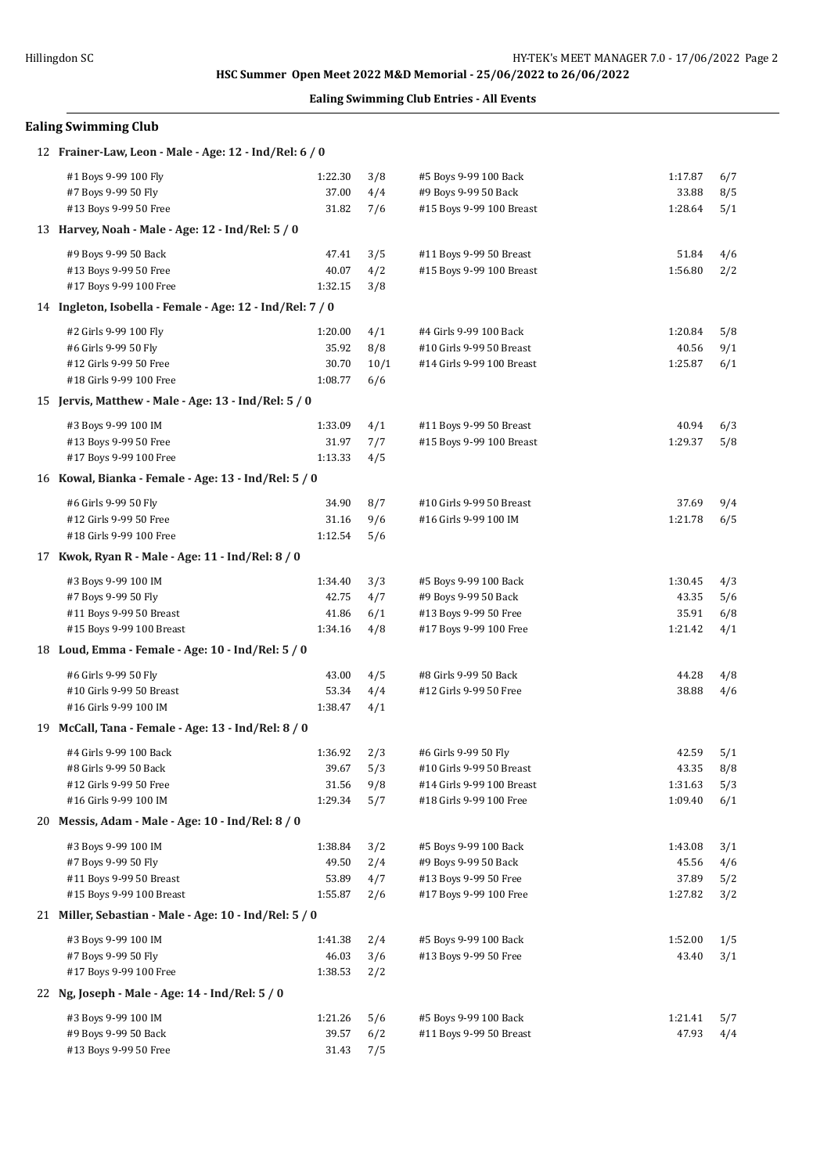## **Ealing Swimming Club Entries - All Events**

# **Ealing Swimming Club**

| 12 Frainer-Law, Leon - Male - Age: 12 - Ind/Rel: 6 / 0    |         |      |                           |         |     |
|-----------------------------------------------------------|---------|------|---------------------------|---------|-----|
| #1 Boys 9-99 100 Fly                                      | 1:22.30 | 3/8  | #5 Boys 9-99 100 Back     | 1:17.87 | 6/7 |
| #7 Boys 9-99 50 Fly                                       | 37.00   | 4/4  | #9 Boys 9-99 50 Back      | 33.88   | 8/5 |
| #13 Boys 9-99 50 Free                                     | 31.82   | 7/6  | #15 Boys 9-99 100 Breast  | 1:28.64 | 5/1 |
| 13 Harvey, Noah - Male - Age: 12 - Ind/Rel: 5 / 0         |         |      |                           |         |     |
| #9 Boys 9-99 50 Back                                      | 47.41   | 3/5  | #11 Boys 9-99 50 Breast   | 51.84   | 4/6 |
| #13 Boys 9-99 50 Free                                     | 40.07   | 4/2  | #15 Boys 9-99 100 Breast  | 1:56.80 | 2/2 |
| #17 Boys 9-99 100 Free                                    | 1:32.15 | 3/8  |                           |         |     |
| 14 Ingleton, Isobella - Female - Age: 12 - Ind/Rel: 7 / 0 |         |      |                           |         |     |
| #2 Girls 9-99 100 Fly                                     | 1:20.00 | 4/1  | #4 Girls 9-99 100 Back    | 1:20.84 | 5/8 |
| #6 Girls 9-99 50 Fly                                      | 35.92   | 8/8  | #10 Girls 9-99 50 Breast  | 40.56   | 9/1 |
| #12 Girls 9-99 50 Free                                    | 30.70   | 10/1 | #14 Girls 9-99 100 Breast | 1:25.87 | 6/1 |
| #18 Girls 9-99 100 Free                                   | 1:08.77 | 6/6  |                           |         |     |
| 15 Jervis, Matthew - Male - Age: 13 - Ind/Rel: 5 / 0      |         |      |                           |         |     |
| #3 Boys 9-99 100 IM                                       | 1:33.09 | 4/1  | #11 Boys 9-99 50 Breast   | 40.94   | 6/3 |
| #13 Boys 9-99 50 Free                                     | 31.97   | 7/7  | #15 Boys 9-99 100 Breast  | 1:29.37 | 5/8 |
| #17 Boys 9-99 100 Free                                    | 1:13.33 | 4/5  |                           |         |     |
| 16 Kowal, Bianka - Female - Age: 13 - Ind/Rel: 5 / 0      |         |      |                           |         |     |
| #6 Girls 9-99 50 Fly                                      | 34.90   | 8/7  | #10 Girls 9-99 50 Breast  | 37.69   | 9/4 |
| #12 Girls 9-99 50 Free                                    | 31.16   | 9/6  | #16 Girls 9-99 100 IM     | 1:21.78 | 6/5 |
| #18 Girls 9-99 100 Free                                   | 1:12.54 | 5/6  |                           |         |     |
| 17 Kwok, Ryan R - Male - Age: 11 - Ind/Rel: 8 / 0         |         |      |                           |         |     |
| #3 Boys 9-99 100 IM                                       | 1:34.40 | 3/3  | #5 Boys 9-99 100 Back     | 1:30.45 | 4/3 |
| #7 Boys 9-99 50 Fly                                       | 42.75   | 4/7  | #9 Boys 9-99 50 Back      | 43.35   | 5/6 |
| #11 Boys 9-99 50 Breast                                   | 41.86   | 6/1  | #13 Boys 9-99 50 Free     | 35.91   | 6/8 |
| #15 Boys 9-99 100 Breast                                  | 1:34.16 | 4/8  | #17 Boys 9-99 100 Free    | 1:21.42 | 4/1 |
| 18 Loud, Emma - Female - Age: 10 - Ind/Rel: 5 / 0         |         |      |                           |         |     |
| #6 Girls 9-99 50 Fly                                      | 43.00   | 4/5  | #8 Girls 9-99 50 Back     | 44.28   | 4/8 |
| #10 Girls 9-99 50 Breast                                  | 53.34   | 4/4  | #12 Girls 9-99 50 Free    | 38.88   | 4/6 |
| #16 Girls 9-99 100 IM                                     | 1:38.47 | 4/1  |                           |         |     |
| 19 McCall, Tana - Female - Age: 13 - Ind/Rel: 8 / 0       |         |      |                           |         |     |
| #4 Girls 9-99 100 Back                                    | 1:36.92 | 2/3  | #6 Girls 9-99 50 Fly      | 42.59   | 5/1 |
| #8 Girls 9-99 50 Back                                     | 39.67   | 5/3  | #10 Girls 9-99 50 Breast  | 43.35   | 8/8 |
| #12 Girls 9-99 50 Free                                    | 31.56   | 9/8  | #14 Girls 9-99 100 Breast | 1:31.63 | 5/3 |
| #16 Girls 9-99 100 IM                                     | 1:29.34 | 5/7  | #18 Girls 9-99 100 Free   | 1:09.40 | 6/1 |
| 20 Messis, Adam - Male - Age: 10 - Ind/Rel: 8 / 0         |         |      |                           |         |     |
| #3 Boys 9-99 100 IM                                       | 1:38.84 | 3/2  | #5 Boys 9-99 100 Back     | 1:43.08 | 3/1 |
| #7 Boys 9-99 50 Fly                                       | 49.50   | 2/4  | #9 Boys 9-99 50 Back      | 45.56   | 4/6 |
| #11 Boys 9-99 50 Breast                                   | 53.89   | 4/7  | #13 Boys 9-99 50 Free     | 37.89   | 5/2 |
| #15 Boys 9-99 100 Breast                                  | 1:55.87 | 2/6  | #17 Boys 9-99 100 Free    | 1:27.82 | 3/2 |
| 21 Miller, Sebastian - Male - Age: 10 - Ind/Rel: 5 / 0    |         |      |                           |         |     |
| #3 Boys 9-99 100 IM                                       | 1:41.38 | 2/4  | #5 Boys 9-99 100 Back     | 1:52.00 | 1/5 |
| #7 Boys 9-99 50 Fly                                       | 46.03   | 3/6  | #13 Boys 9-99 50 Free     | 43.40   | 3/1 |
| #17 Boys 9-99 100 Free                                    | 1:38.53 | 2/2  |                           |         |     |
| 22 Ng, Joseph - Male - Age: 14 - Ind/Rel: 5 / 0           |         |      |                           |         |     |
| #3 Boys 9-99 100 IM                                       | 1:21.26 | 5/6  | #5 Boys 9-99 100 Back     | 1:21.41 | 5/7 |
| #9 Boys 9-99 50 Back                                      | 39.57   | 6/2  | #11 Boys 9-99 50 Breast   | 47.93   | 4/4 |
| #13 Boys 9-99 50 Free                                     | 31.43   | 7/5  |                           |         |     |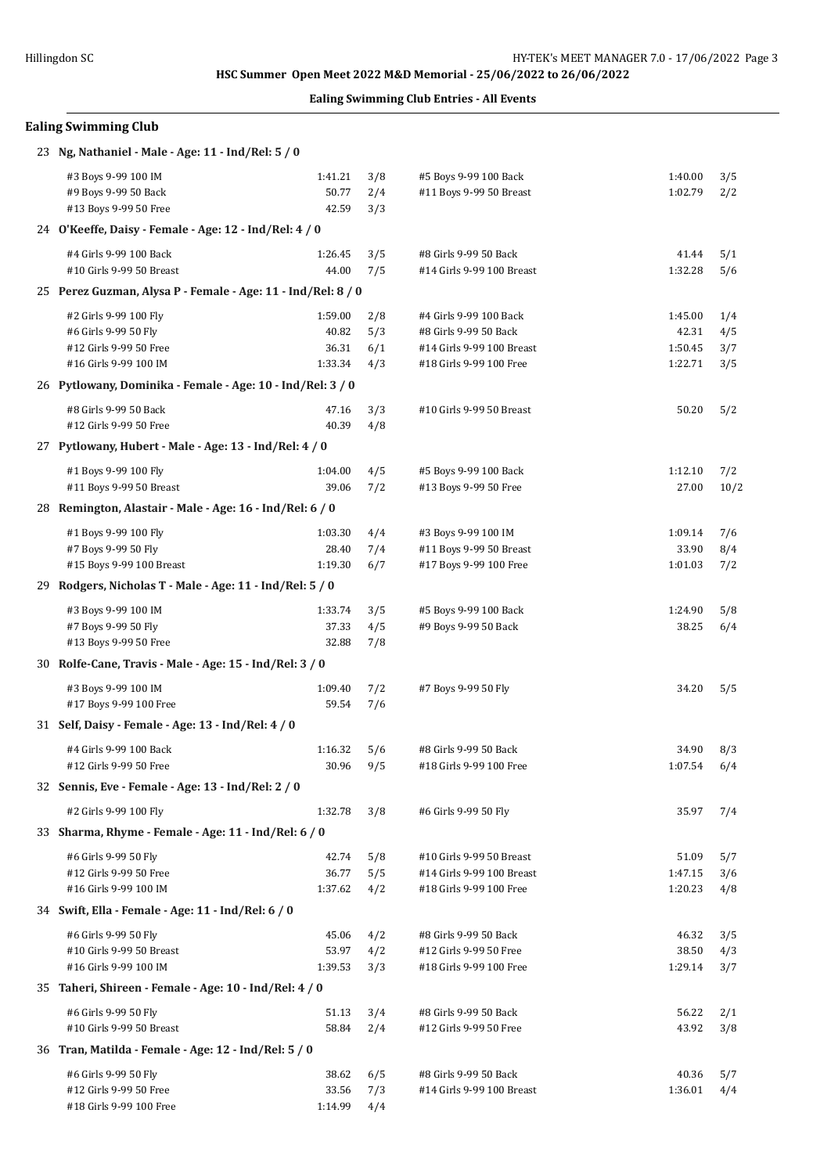# Hillingdon SC **HY-TEK's MEET MANAGER 7.0 - 17/06/2022** Page 3 **Ealing Swimming Club Entries - All Events Ealing Swimming Club** 23 **Ng, Nathaniel - Male - Age: 11 - Ind/Rel: 5 / 0** #3 Boys 9-99 100 IM 1:41.21 3/8 #5 Boys 9-99 100 Back 1:40.00 3/5 #9 Boys 9-99 50 Back 50.77 2/4 #11 Boys 9-99 50 Breast 1:02.79 2/2 #13 Boys 9-99 50 Free 42.59 3/3 24 **O'Keeffe, Daisy - Female - Age: 12 - Ind/Rel: 4 / 0** #4 Girls 9-99 100 Back 1:26.45 3/5 #8 Girls 9-99 50 Back 41.44 5/1 #10 Girls 9-99 50 Breast 44.00 7/5 #14 Girls 9-99 100 Breast 1:32.28 5/6 25 **Perez Guzman, Alysa P - Female - Age: 11 - Ind/Rel: 8 / 0** #2 Girls 9-99 100 Fly 1:59.00 2/8 #4 Girls 9-99 100 Back 1:45.00 1/4 #6 Girls 9-99 50 Fly 40.82 5/3 #8 Girls 9-99 50 Back 42.31 4/5 #12 Girls 9-99 50 Free 36.31 6/1 #14 Girls 9-99 100 Breast 1:50.45 3/7 #16 Girls 9-99 100 IM 1:33.34 4/3 #18 Girls 9-99 100 Free 1:22.71 3/5 26 **Pytlowany, Dominika - Female - Age: 10 - Ind/Rel: 3 / 0** #8 Girls 9-99 50 Back 47.16 3/3 #10 Girls 9-99 50 Breast 50.20 5/2 #12 Girls 9-99 50 Free 40.39 4/8 27 **Pytlowany, Hubert - Male - Age: 13 - Ind/Rel: 4 / 0** #1 Boys 9-99 100 Fly 1:04.00 4/5 #5 Boys 9-99 100 Back 1:12.10 7/2 #11 Boys 9-99 50 Breast 39.06 7/2 #13 Boys 9-99 50 Free 27.00 10/2 28 **Remington, Alastair - Male - Age: 16 - Ind/Rel: 6 / 0** #1 Boys 9-99 100 Fly 1:03.30 4/4 #3 Boys 9-99 100 IM 1:09.14 7/6 #7 Boys 9-99 50 Fly 28.40 7/4 #11 Boys 9-99 50 Breast 33.90 8/4 #15 Boys 9-99 100 Breast 1:19.30 6/7 #17 Boys 9-99 100 Free 1:01.03 7/2 29 **Rodgers, Nicholas T - Male - Age: 11 - Ind/Rel: 5 / 0** #3 Boys 9-99 100 IM 1:33.74 3/5 #5 Boys 9-99 100 Back 1:24.90 5/8 #7 Boys 9-99 50 Fly 37.33 4/5 #9 Boys 9-99 50 Back 38.25 6/4 #13 Boys 9-99 50 Free 32.88 7/8 30 **Rolfe-Cane, Travis - Male - Age: 15 - Ind/Rel: 3 / 0** #3 Boys 9-99 100 IM 1:09.40 7/2 #7 Boys 9-99 50 Fly 34.20 5/5 #17 Boys 9-99 100 Free 59.54 7/6 31 **Self, Daisy - Female - Age: 13 - Ind/Rel: 4 / 0** #4 Girls 9-99 100 Back 1:16.32 5/6 #8 Girls 9-99 50 Back 34.90 8/3 #12 Girls 9-99 50 Free 30.96 9/5 #18 Girls 9-99 100 Free 1:07.54 6/4 32 **Sennis, Eve - Female - Age: 13 - Ind/Rel: 2 / 0** #2 Girls 9-99 100 Fly 1:32.78 3/8 #6 Girls 9-99 50 Fly 35.97 7/4 33 **Sharma, Rhyme - Female - Age: 11 - Ind/Rel: 6 / 0** #6 Girls 9-99 50 Fly 42.74 5/8 #10 Girls 9-99 50 Breast 51.09 5/7 #12 Girls 9-99 50 Free 36.77 5/5 #14 Girls 9-99 100 Breast 1:47.15 3/6 #16 Girls 9-99 100 IM 1:37.62 4/2 #18 Girls 9-99 100 Free 1:20.23 4/8 34 **Swift, Ella - Female - Age: 11 - Ind/Rel: 6 / 0** #6 Girls 9-99 50 Fly 45.06 4/2 #8 Girls 9-99 50 Back 46.32 3/5 #10 Girls 9-99 50 Breast 53.97 4/2 #12 Girls 9-99 50 Free 38.50 4/3 #16 Girls 9-99 100 IM 1:39.53 3/3 #18 Girls 9-99 100 Free 1:29.14 3/7

 35 **Taheri, Shireen - Female - Age: 10 - Ind/Rel: 4 / 0** #6 Girls 9-99 50 Fly 51.13 3/4 #8 Girls 9-99 50 Back 56.22 2/1 #10 Girls 9-99 50 Breast 58.84 2/4 #12 Girls 9-99 50 Free 43.92 3/8

| 36 Tran, Matilda - Female - Age: 12 - Ind/Rel: 5 / 0 |  |
|------------------------------------------------------|--|
|                                                      |  |

| #6 Girls 9-99 50 Fly    | 38.62 6/5       | #8 Girls 9-99 50 Back     | 40.36 5/7       |  |
|-------------------------|-----------------|---------------------------|-----------------|--|
| #12 Girls 9-99 50 Free  | 33.56 7/3       | #14 Girls 9-99 100 Breast | $1:36.01$ $4/4$ |  |
| #18 Girls 9-99 100 Free | $1:14.99$ $4/4$ |                           |                 |  |